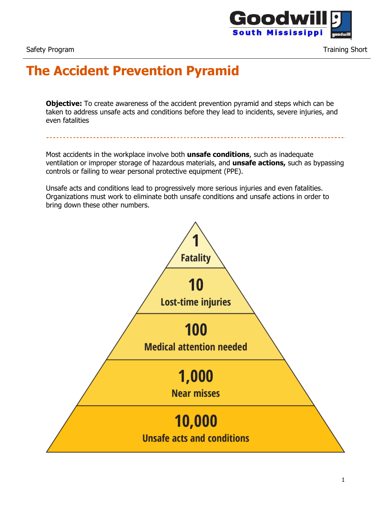

Safety Program Training Short Community Community Community Community Community Community Community Community Community Community Community Community Community Community Community Community Community Community Community Co

## **The Accident Prevention Pyramid**

**Objective:** To create awareness of the accident prevention pyramid and steps which can be taken to address unsafe acts and conditions before they lead to incidents, severe injuries, and even fatalities

Most accidents in the workplace involve both **unsafe conditions**, such as inadequate ventilation or improper storage of hazardous materials, and **unsafe actions,** such as bypassing controls or failing to wear personal protective equipment (PPE).

Unsafe acts and conditions lead to progressively more serious injuries and even fatalities. Organizations must work to eliminate both unsafe conditions and unsafe actions in order to bring down these other numbers.

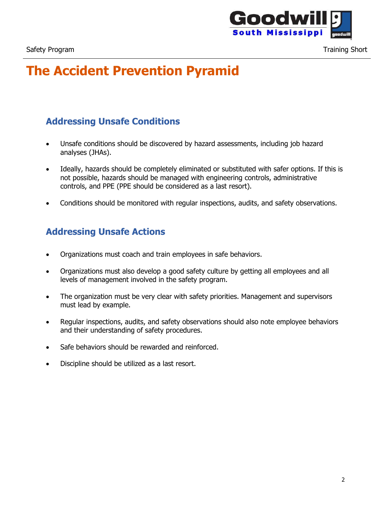

# **The Accident Prevention Pyramid**

### **Addressing Unsafe Conditions**

- Unsafe conditions should be discovered by hazard assessments, including job hazard analyses (JHAs).
- Ideally, hazards should be completely eliminated or substituted with safer options. If this is not possible, hazards should be managed with engineering controls, administrative controls, and PPE (PPE should be considered as a last resort).
- Conditions should be monitored with regular inspections, audits, and safety observations.

#### **Addressing Unsafe Actions**

- Organizations must coach and train employees in safe behaviors.
- Organizations must also develop a good safety culture by getting all employees and all levels of management involved in the safety program.
- The organization must be very clear with safety priorities. Management and supervisors must lead by example.
- Regular inspections, audits, and safety observations should also note employee behaviors and their understanding of safety procedures.
- Safe behaviors should be rewarded and reinforced.
- Discipline should be utilized as a last resort.